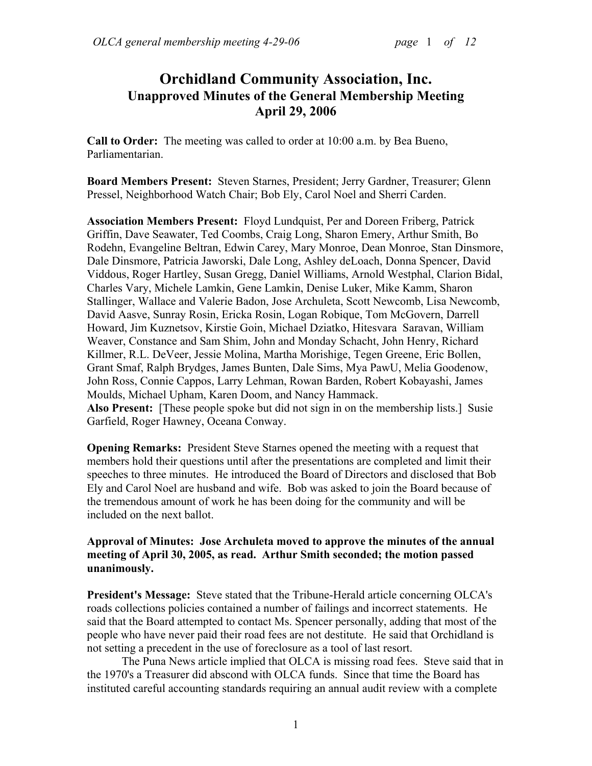# **Orchidland Community Association, Inc. Unapproved Minutes of the General Membership Meeting April 29, 2006**

**Call to Order:** The meeting was called to order at 10:00 a.m. by Bea Bueno, Parliamentarian.

**Board Members Present:** Steven Starnes, President; Jerry Gardner, Treasurer; Glenn Pressel, Neighborhood Watch Chair; Bob Ely, Carol Noel and Sherri Carden.

**Association Members Present:** Floyd Lundquist, Per and Doreen Friberg, Patrick Griffin, Dave Seawater, Ted Coombs, Craig Long, Sharon Emery, Arthur Smith, Bo Rodehn, Evangeline Beltran, Edwin Carey, Mary Monroe, Dean Monroe, Stan Dinsmore, Dale Dinsmore, Patricia Jaworski, Dale Long, Ashley deLoach, Donna Spencer, David Viddous, Roger Hartley, Susan Gregg, Daniel Williams, Arnold Westphal, Clarion Bidal, Charles Vary, Michele Lamkin, Gene Lamkin, Denise Luker, Mike Kamm, Sharon Stallinger, Wallace and Valerie Badon, Jose Archuleta, Scott Newcomb, Lisa Newcomb, David Aasve, Sunray Rosin, Ericka Rosin, Logan Robique, Tom McGovern, Darrell Howard, Jim Kuznetsov, Kirstie Goin, Michael Dziatko, Hitesvara Saravan, William Weaver, Constance and Sam Shim, John and Monday Schacht, John Henry, Richard Killmer, R.L. DeVeer, Jessie Molina, Martha Morishige, Tegen Greene, Eric Bollen, Grant Smaf, Ralph Brydges, James Bunten, Dale Sims, Mya PawU, Melia Goodenow, John Ross, Connie Cappos, Larry Lehman, Rowan Barden, Robert Kobayashi, James Moulds, Michael Upham, Karen Doom, and Nancy Hammack.

**Also Present:** [These people spoke but did not sign in on the membership lists.] Susie Garfield, Roger Hawney, Oceana Conway.

**Opening Remarks:** President Steve Starnes opened the meeting with a request that members hold their questions until after the presentations are completed and limit their speeches to three minutes. He introduced the Board of Directors and disclosed that Bob Ely and Carol Noel are husband and wife. Bob was asked to join the Board because of the tremendous amount of work he has been doing for the community and will be included on the next ballot.

## **Approval of Minutes: Jose Archuleta moved to approve the minutes of the annual meeting of April 30, 2005, as read. Arthur Smith seconded; the motion passed unanimously.**

**President's Message:** Steve stated that the Tribune-Herald article concerning OLCA's roads collections policies contained a number of failings and incorrect statements. He said that the Board attempted to contact Ms. Spencer personally, adding that most of the people who have never paid their road fees are not destitute. He said that Orchidland is not setting a precedent in the use of foreclosure as a tool of last resort.

The Puna News article implied that OLCA is missing road fees. Steve said that in the 1970's a Treasurer did abscond with OLCA funds. Since that time the Board has instituted careful accounting standards requiring an annual audit review with a complete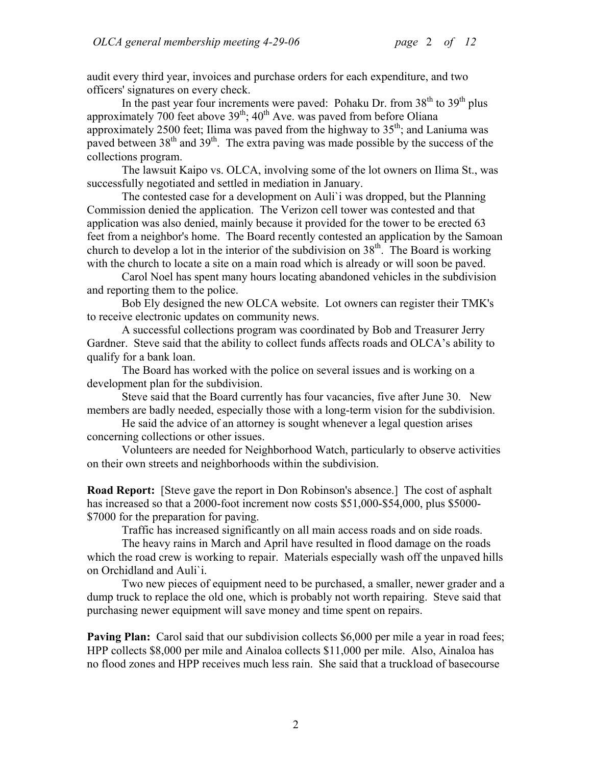audit every third year, invoices and purchase orders for each expenditure, and two officers' signatures on every check.

In the past year four increments were paved: Pohaku Dr. from  $38<sup>th</sup>$  to  $39<sup>th</sup>$  plus approximately 700 feet above  $39<sup>th</sup>$ ; 40<sup>th</sup> Ave. was paved from before Oliana approximately 2500 feet; Ilima was paved from the highway to  $35<sup>th</sup>$ ; and Laniuma was paved between 38<sup>th</sup> and 39<sup>th</sup>. The extra paving was made possible by the success of the collections program.

The lawsuit Kaipo vs. OLCA, involving some of the lot owners on Ilima St., was successfully negotiated and settled in mediation in January.

The contested case for a development on Auli`i was dropped, but the Planning Commission denied the application. The Verizon cell tower was contested and that application was also denied, mainly because it provided for the tower to be erected 63 feet from a neighbor's home. The Board recently contested an application by the Samoan church to develop a lot in the interior of the subdivision on  $38<sup>th</sup>$ . The Board is working with the church to locate a site on a main road which is already or will soon be paved.

Carol Noel has spent many hours locating abandoned vehicles in the subdivision and reporting them to the police.

Bob Ely designed the new OLCA website. Lot owners can register their TMK's to receive electronic updates on community news.

A successful collections program was coordinated by Bob and Treasurer Jerry Gardner. Steve said that the ability to collect funds affects roads and OLCA's ability to qualify for a bank loan.

The Board has worked with the police on several issues and is working on a development plan for the subdivision.

Steve said that the Board currently has four vacancies, five after June 30. New members are badly needed, especially those with a long-term vision for the subdivision.

He said the advice of an attorney is sought whenever a legal question arises concerning collections or other issues.

Volunteers are needed for Neighborhood Watch, particularly to observe activities on their own streets and neighborhoods within the subdivision.

**Road Report:** [Steve gave the report in Don Robinson's absence.] The cost of asphalt has increased so that a 2000-foot increment now costs \$51,000-\$54,000, plus \$5000-\$7000 for the preparation for paving.

Traffic has increased significantly on all main access roads and on side roads.

The heavy rains in March and April have resulted in flood damage on the roads which the road crew is working to repair. Materials especially wash off the unpaved hills on Orchidland and Auli`i.

Two new pieces of equipment need to be purchased, a smaller, newer grader and a dump truck to replace the old one, which is probably not worth repairing. Steve said that purchasing newer equipment will save money and time spent on repairs.

**Paving Plan:** Carol said that our subdivision collects \$6,000 per mile a year in road fees; HPP collects \$8,000 per mile and Ainaloa collects \$11,000 per mile. Also, Ainaloa has no flood zones and HPP receives much less rain. She said that a truckload of basecourse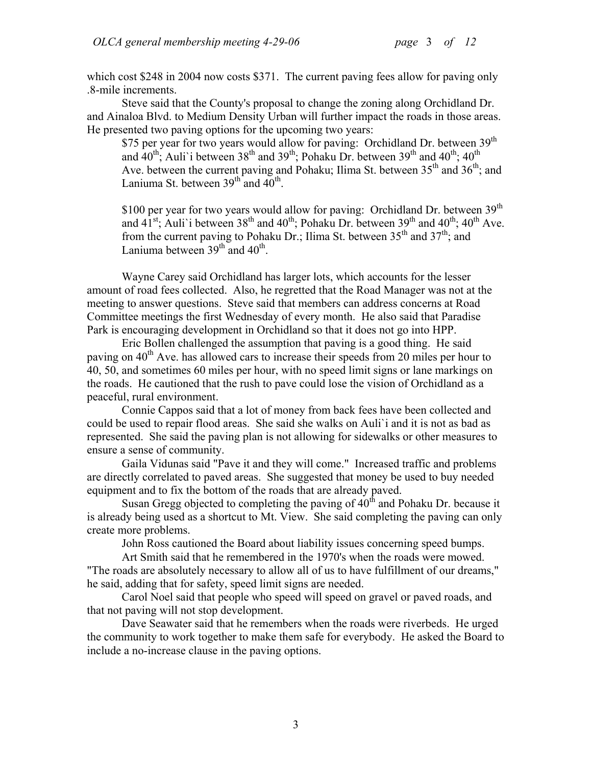which cost \$248 in 2004 now costs \$371. The current paving fees allow for paving only .8-mile increments.

Steve said that the County's proposal to change the zoning along Orchidland Dr. and Ainaloa Blvd. to Medium Density Urban will further impact the roads in those areas. He presented two paving options for the upcoming two years:

\$75 per year for two years would allow for paving: Orchidland Dr. between 39<sup>th</sup> and  $40^{\text{th}}$ , Auli'i between 38<sup>th</sup> and 39<sup>th</sup>; Pohaku Dr. between 39<sup>th</sup> and  $40^{\text{th}}$ ;  $40^{\text{th}}$ Ave. between the current paving and Pohaku; Ilima St. between  $35<sup>th</sup>$  and  $36<sup>th</sup>$ ; and Laniuma St. between  $39<sup>th</sup>$  and  $40<sup>th</sup>$ .

\$100 per year for two years would allow for paving: Orchidland Dr. between 39<sup>th</sup> and  $41^{st}$ ; Auli'i between  $38^{th}$  and  $40^{th}$ ; Pohaku Dr. between  $39^{th}$  and  $40^{th}$ ;  $40^{th}$  Ave. from the current paving to Pohaku Dr.; Ilima St. between  $35<sup>th</sup>$  and  $37<sup>th</sup>$ ; and Laniuma between  $39<sup>th</sup>$  and  $40<sup>th</sup>$ .

Wayne Carey said Orchidland has larger lots, which accounts for the lesser amount of road fees collected. Also, he regretted that the Road Manager was not at the meeting to answer questions. Steve said that members can address concerns at Road Committee meetings the first Wednesday of every month. He also said that Paradise Park is encouraging development in Orchidland so that it does not go into HPP.

Eric Bollen challenged the assumption that paving is a good thing. He said paving on  $40<sup>th</sup>$  Ave. has allowed cars to increase their speeds from 20 miles per hour to 40, 50, and sometimes 60 miles per hour, with no speed limit signs or lane markings on the roads. He cautioned that the rush to pave could lose the vision of Orchidland as a peaceful, rural environment.

Connie Cappos said that a lot of money from back fees have been collected and could be used to repair flood areas. She said she walks on Auli`i and it is not as bad as represented. She said the paving plan is not allowing for sidewalks or other measures to ensure a sense of community.

Gaila Vidunas said "Pave it and they will come." Increased traffic and problems are directly correlated to paved areas. She suggested that money be used to buy needed equipment and to fix the bottom of the roads that are already paved.

Susan Gregg objected to completing the paving of  $40<sup>th</sup>$  and Pohaku Dr. because it is already being used as a shortcut to Mt. View. She said completing the paving can only create more problems.

John Ross cautioned the Board about liability issues concerning speed bumps.

Art Smith said that he remembered in the 1970's when the roads were mowed. "The roads are absolutely necessary to allow all of us to have fulfillment of our dreams," he said, adding that for safety, speed limit signs are needed.

Carol Noel said that people who speed will speed on gravel or paved roads, and that not paving will not stop development.

Dave Seawater said that he remembers when the roads were riverbeds. He urged the community to work together to make them safe for everybody. He asked the Board to include a no-increase clause in the paving options.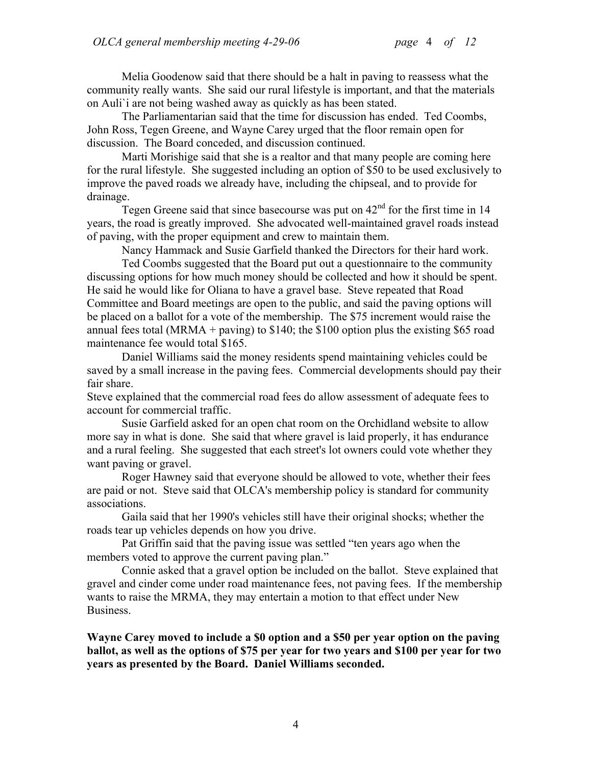Melia Goodenow said that there should be a halt in paving to reassess what the community really wants. She said our rural lifestyle is important, and that the materials on Auli`i are not being washed away as quickly as has been stated.

The Parliamentarian said that the time for discussion has ended. Ted Coombs, John Ross, Tegen Greene, and Wayne Carey urged that the floor remain open for discussion. The Board conceded, and discussion continued.

Marti Morishige said that she is a realtor and that many people are coming here for the rural lifestyle. She suggested including an option of \$50 to be used exclusively to improve the paved roads we already have, including the chipseal, and to provide for drainage.

Tegen Greene said that since basecourse was put on  $42<sup>nd</sup>$  for the first time in 14 years, the road is greatly improved. She advocated well-maintained gravel roads instead of paving, with the proper equipment and crew to maintain them.

Nancy Hammack and Susie Garfield thanked the Directors for their hard work.

Ted Coombs suggested that the Board put out a questionnaire to the community discussing options for how much money should be collected and how it should be spent. He said he would like for Oliana to have a gravel base. Steve repeated that Road Committee and Board meetings are open to the public, and said the paving options will be placed on a ballot for a vote of the membership. The \$75 increment would raise the annual fees total (MRMA + paving) to \$140; the \$100 option plus the existing \$65 road maintenance fee would total \$165.

Daniel Williams said the money residents spend maintaining vehicles could be saved by a small increase in the paving fees. Commercial developments should pay their fair share.

Steve explained that the commercial road fees do allow assessment of adequate fees to account for commercial traffic.

Susie Garfield asked for an open chat room on the Orchidland website to allow more say in what is done. She said that where gravel is laid properly, it has endurance and a rural feeling. She suggested that each street's lot owners could vote whether they want paving or gravel.

Roger Hawney said that everyone should be allowed to vote, whether their fees are paid or not. Steve said that OLCA's membership policy is standard for community associations.

Gaila said that her 1990's vehicles still have their original shocks; whether the roads tear up vehicles depends on how you drive.

Pat Griffin said that the paving issue was settled "ten years ago when the members voted to approve the current paving plan."

Connie asked that a gravel option be included on the ballot. Steve explained that gravel and cinder come under road maintenance fees, not paving fees. If the membership wants to raise the MRMA, they may entertain a motion to that effect under New Business.

**Wayne Carey moved to include a \$0 option and a \$50 per year option on the paving ballot, as well as the options of \$75 per year for two years and \$100 per year for two years as presented by the Board. Daniel Williams seconded.**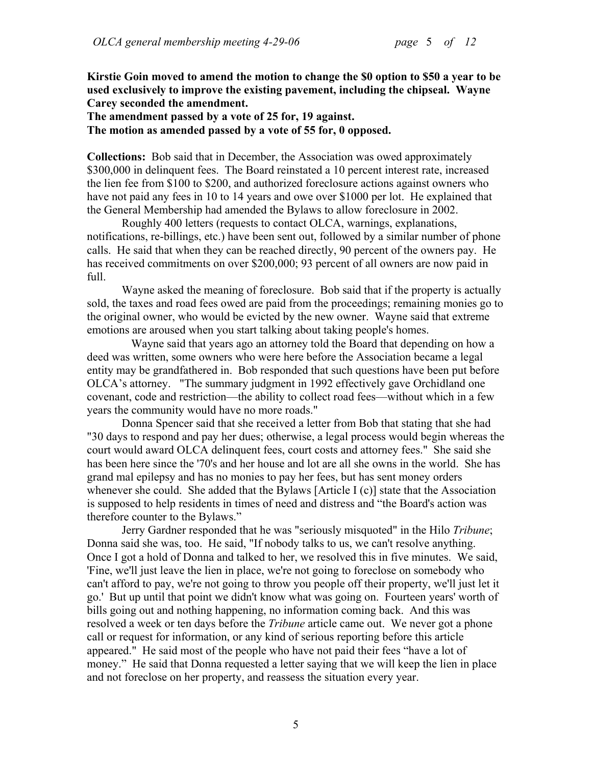**Kirstie Goin moved to amend the motion to change the \$0 option to \$50 a year to be used exclusively to improve the existing pavement, including the chipseal. Wayne Carey seconded the amendment.** 

**The amendment passed by a vote of 25 for, 19 against. The motion as amended passed by a vote of 55 for, 0 opposed.** 

**Collections:** Bob said that in December, the Association was owed approximately \$300,000 in delinquent fees. The Board reinstated a 10 percent interest rate, increased the lien fee from \$100 to \$200, and authorized foreclosure actions against owners who have not paid any fees in 10 to 14 years and owe over \$1000 per lot. He explained that the General Membership had amended the Bylaws to allow foreclosure in 2002.

Roughly 400 letters (requests to contact OLCA, warnings, explanations, notifications, re-billings, etc.) have been sent out, followed by a similar number of phone calls. He said that when they can be reached directly, 90 percent of the owners pay. He has received commitments on over \$200,000; 93 percent of all owners are now paid in full.

Wayne asked the meaning of foreclosure. Bob said that if the property is actually sold, the taxes and road fees owed are paid from the proceedings; remaining monies go to the original owner, who would be evicted by the new owner. Wayne said that extreme emotions are aroused when you start talking about taking people's homes.

 Wayne said that years ago an attorney told the Board that depending on how a deed was written, some owners who were here before the Association became a legal entity may be grandfathered in. Bob responded that such questions have been put before OLCA's attorney. "The summary judgment in 1992 effectively gave Orchidland one covenant, code and restriction—the ability to collect road fees—without which in a few years the community would have no more roads."

Donna Spencer said that she received a letter from Bob that stating that she had "30 days to respond and pay her dues; otherwise, a legal process would begin whereas the court would award OLCA delinquent fees, court costs and attorney fees." She said she has been here since the '70's and her house and lot are all she owns in the world. She has grand mal epilepsy and has no monies to pay her fees, but has sent money orders whenever she could. She added that the Bylaws [Article I (c)] state that the Association is supposed to help residents in times of need and distress and "the Board's action was therefore counter to the Bylaws."

Jerry Gardner responded that he was "seriously misquoted" in the Hilo *Tribune*; Donna said she was, too. He said, "If nobody talks to us, we can't resolve anything. Once I got a hold of Donna and talked to her, we resolved this in five minutes. We said, 'Fine, we'll just leave the lien in place, we're not going to foreclose on somebody who can't afford to pay, we're not going to throw you people off their property, we'll just let it go.' But up until that point we didn't know what was going on. Fourteen years' worth of bills going out and nothing happening, no information coming back. And this was resolved a week or ten days before the *Tribune* article came out. We never got a phone call or request for information, or any kind of serious reporting before this article appeared." He said most of the people who have not paid their fees "have a lot of money." He said that Donna requested a letter saying that we will keep the lien in place and not foreclose on her property, and reassess the situation every year.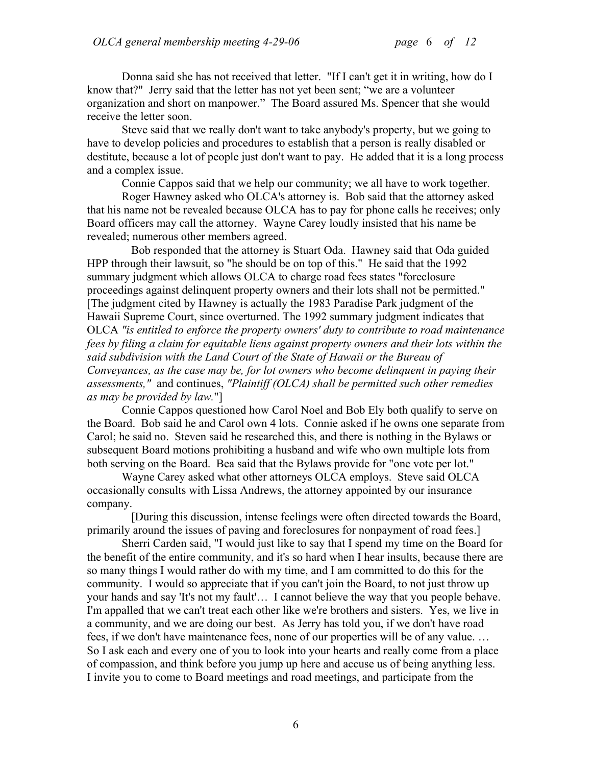Donna said she has not received that letter. "If I can't get it in writing, how do I know that?" Jerry said that the letter has not yet been sent; "we are a volunteer organization and short on manpower." The Board assured Ms. Spencer that she would receive the letter soon.

Steve said that we really don't want to take anybody's property, but we going to have to develop policies and procedures to establish that a person is really disabled or destitute, because a lot of people just don't want to pay. He added that it is a long process and a complex issue.

Connie Cappos said that we help our community; we all have to work together.

Roger Hawney asked who OLCA's attorney is. Bob said that the attorney asked that his name not be revealed because OLCA has to pay for phone calls he receives; only Board officers may call the attorney. Wayne Carey loudly insisted that his name be revealed; numerous other members agreed.

Bob responded that the attorney is Stuart Oda. Hawney said that Oda guided HPP through their lawsuit, so "he should be on top of this." He said that the 1992 summary judgment which allows OLCA to charge road fees states "foreclosure proceedings against delinquent property owners and their lots shall not be permitted." [The judgment cited by Hawney is actually the 1983 Paradise Park judgment of the Hawaii Supreme Court, since overturned. The 1992 summary judgment indicates that OLCA *"is entitled to enforce the property owners' duty to contribute to road maintenance fees by filing a claim for equitable liens against property owners and their lots within the said subdivision with the Land Court of the State of Hawaii or the Bureau of Conveyances, as the case may be, for lot owners who become delinquent in paying their assessments,"* and continues, *"Plaintiff (OLCA) shall be permitted such other remedies as may be provided by law.*"]

Connie Cappos questioned how Carol Noel and Bob Ely both qualify to serve on the Board. Bob said he and Carol own 4 lots. Connie asked if he owns one separate from Carol; he said no. Steven said he researched this, and there is nothing in the Bylaws or subsequent Board motions prohibiting a husband and wife who own multiple lots from both serving on the Board. Bea said that the Bylaws provide for "one vote per lot."

Wayne Carey asked what other attorneys OLCA employs. Steve said OLCA occasionally consults with Lissa Andrews, the attorney appointed by our insurance company.

[During this discussion, intense feelings were often directed towards the Board, primarily around the issues of paving and foreclosures for nonpayment of road fees.]

Sherri Carden said, "I would just like to say that I spend my time on the Board for the benefit of the entire community, and it's so hard when I hear insults, because there are so many things I would rather do with my time, and I am committed to do this for the community. I would so appreciate that if you can't join the Board, to not just throw up your hands and say 'It's not my fault'… I cannot believe the way that you people behave. I'm appalled that we can't treat each other like we're brothers and sisters. Yes, we live in a community, and we are doing our best. As Jerry has told you, if we don't have road fees, if we don't have maintenance fees, none of our properties will be of any value. … So I ask each and every one of you to look into your hearts and really come from a place of compassion, and think before you jump up here and accuse us of being anything less. I invite you to come to Board meetings and road meetings, and participate from the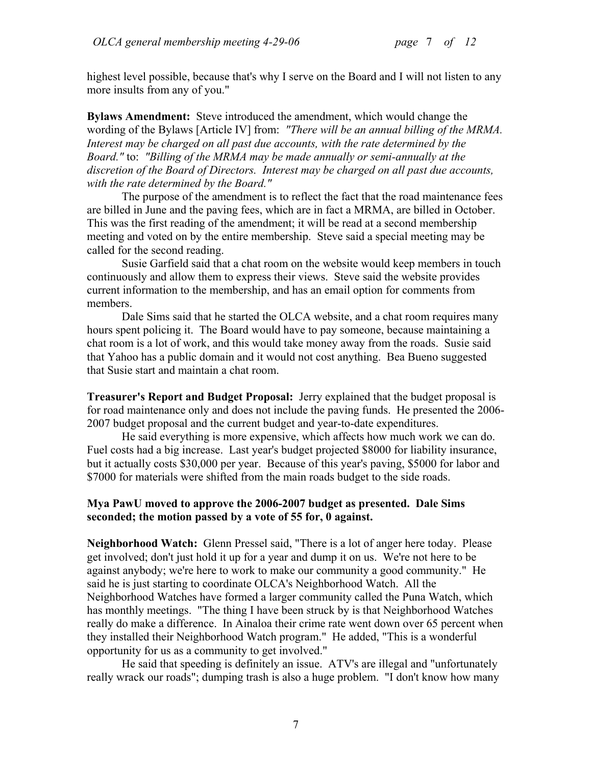highest level possible, because that's why I serve on the Board and I will not listen to any more insults from any of you."

**Bylaws Amendment:** Steve introduced the amendment, which would change the wording of the Bylaws [Article IV] from: *"There will be an annual billing of the MRMA. Interest may be charged on all past due accounts, with the rate determined by the Board."* to: *"Billing of the MRMA may be made annually or semi-annually at the discretion of the Board of Directors. Interest may be charged on all past due accounts, with the rate determined by the Board."*

The purpose of the amendment is to reflect the fact that the road maintenance fees are billed in June and the paving fees, which are in fact a MRMA, are billed in October. This was the first reading of the amendment; it will be read at a second membership meeting and voted on by the entire membership. Steve said a special meeting may be called for the second reading.

Susie Garfield said that a chat room on the website would keep members in touch continuously and allow them to express their views. Steve said the website provides current information to the membership, and has an email option for comments from members.

Dale Sims said that he started the OLCA website, and a chat room requires many hours spent policing it. The Board would have to pay someone, because maintaining a chat room is a lot of work, and this would take money away from the roads. Susie said that Yahoo has a public domain and it would not cost anything. Bea Bueno suggested that Susie start and maintain a chat room.

**Treasurer's Report and Budget Proposal:** Jerry explained that the budget proposal is for road maintenance only and does not include the paving funds. He presented the 2006- 2007 budget proposal and the current budget and year-to-date expenditures.

He said everything is more expensive, which affects how much work we can do. Fuel costs had a big increase. Last year's budget projected \$8000 for liability insurance, but it actually costs \$30,000 per year. Because of this year's paving, \$5000 for labor and \$7000 for materials were shifted from the main roads budget to the side roads.

#### **Mya PawU moved to approve the 2006-2007 budget as presented. Dale Sims seconded; the motion passed by a vote of 55 for, 0 against.**

**Neighborhood Watch:** Glenn Pressel said, "There is a lot of anger here today. Please get involved; don't just hold it up for a year and dump it on us. We're not here to be against anybody; we're here to work to make our community a good community." He said he is just starting to coordinate OLCA's Neighborhood Watch. All the Neighborhood Watches have formed a larger community called the Puna Watch, which has monthly meetings. "The thing I have been struck by is that Neighborhood Watches really do make a difference. In Ainaloa their crime rate went down over 65 percent when they installed their Neighborhood Watch program." He added, "This is a wonderful opportunity for us as a community to get involved."

He said that speeding is definitely an issue. ATV's are illegal and "unfortunately really wrack our roads"; dumping trash is also a huge problem. "I don't know how many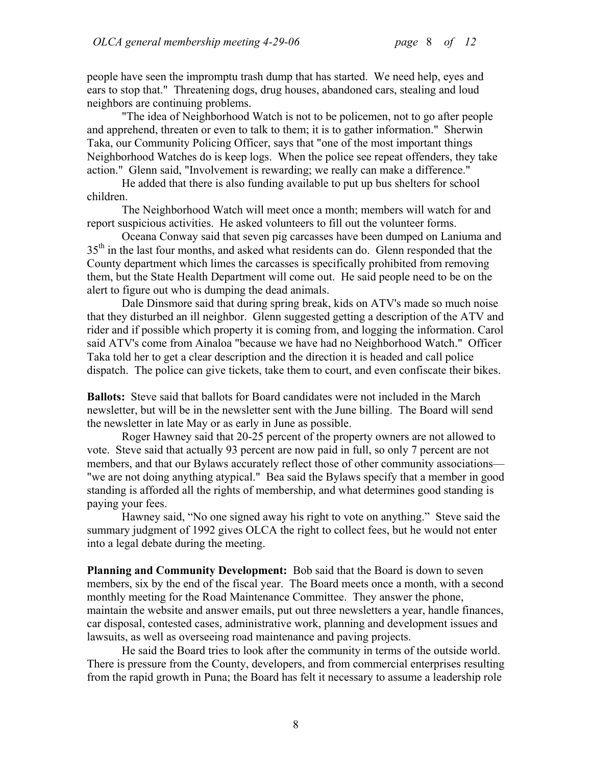people have seen the impromptu trash dump that has started. We need help, eyes and ears to stop that." Threatening dogs, drug houses, abandoned cars, stealing and loud neighbors are continuing problems.

"The idea of Neighborhood Watch is not to be policemen, not to go after people and apprehend, threaten or even to talk to them; it is to gather information." Sherwin Taka, our Community Policing Officer, says that "one of the most important things Neighborhood Watches do is keep logs. When the police see repeat offenders, they take action." Glenn said, "Involvement is rewarding; we really can make a difference."

He added that there is also funding available to put up bus shelters for school children.

The Neighborhood Watch will meet once a month; members will watch for and report suspicious activities. He asked volunteers to fill out the volunteer forms.

Oceana Conway said that seven pig carcasses have been dumped on Laniuma and 35<sup>th</sup> in the last four months, and asked what residents can do. Glenn responded that the County department which limes the carcasses is specifically prohibited from removing them, but the State Health Department will come out. He said people need to be on the alert to figure out who is dumping the dead animals.

Dale Dinsmore said that during spring break, kids on ATV's made so much noise that they disturbed an ill neighbor. Glenn suggested getting a description of the ATV and rider and if possible which property it is coming from, and logging the information. Carol said ATV's come from Ainaloa "because we have had no Neighborhood Watch." Officer Taka told her to get a clear description and the direction it is headed and call police dispatch. The police can give tickets, take them to court, and even confiscate their bikes.

**Ballots:** Steve said that ballots for Board candidates were not included in the March newsletter, but will be in the newsletter sent with the June billing. The Board will send the newsletter in late May or as early in June as possible.

Roger Hawney said that 20-25 percent of the property owners are not allowed to vote. Steve said that actually 93 percent are now paid in full, so only 7 percent are not members, and that our Bylaws accurately reflect those of other community associations— "we are not doing anything atypical." Bea said the Bylaws specify that a member in good standing is afforded all the rights of membership, and what determines good standing is paying your fees.

Hawney said, "No one signed away his right to vote on anything." Steve said the summary judgment of 1992 gives OLCA the right to collect fees, but he would not enter into a legal debate during the meeting.

**Planning and Community Development:** Bob said that the Board is down to seven members, six by the end of the fiscal year. The Board meets once a month, with a second monthly meeting for the Road Maintenance Committee. They answer the phone, maintain the website and answer emails, put out three newsletters a year, handle finances, car disposal, contested cases, administrative work, planning and development issues and lawsuits, as well as overseeing road maintenance and paving projects.

He said the Board tries to look after the community in terms of the outside world. There is pressure from the County, developers, and from commercial enterprises resulting from the rapid growth in Puna; the Board has felt it necessary to assume a leadership role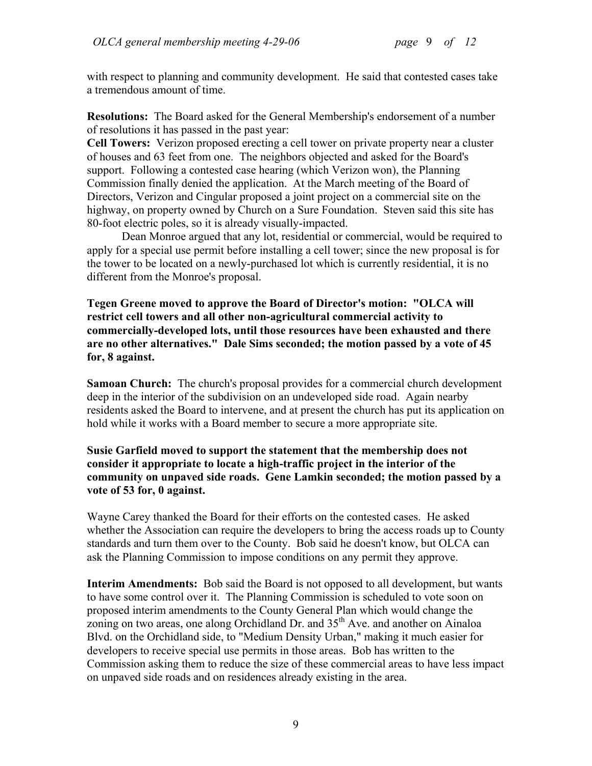with respect to planning and community development. He said that contested cases take a tremendous amount of time.

**Resolutions:** The Board asked for the General Membership's endorsement of a number of resolutions it has passed in the past year:

**Cell Towers:** Verizon proposed erecting a cell tower on private property near a cluster of houses and 63 feet from one. The neighbors objected and asked for the Board's support. Following a contested case hearing (which Verizon won), the Planning Commission finally denied the application. At the March meeting of the Board of Directors, Verizon and Cingular proposed a joint project on a commercial site on the highway, on property owned by Church on a Sure Foundation. Steven said this site has 80-foot electric poles, so it is already visually-impacted.

Dean Monroe argued that any lot, residential or commercial, would be required to apply for a special use permit before installing a cell tower; since the new proposal is for the tower to be located on a newly-purchased lot which is currently residential, it is no different from the Monroe's proposal.

**Tegen Greene moved to approve the Board of Director's motion: "OLCA will restrict cell towers and all other non-agricultural commercial activity to commercially-developed lots, until those resources have been exhausted and there are no other alternatives." Dale Sims seconded; the motion passed by a vote of 45 for, 8 against.** 

**Samoan Church:** The church's proposal provides for a commercial church development deep in the interior of the subdivision on an undeveloped side road. Again nearby residents asked the Board to intervene, and at present the church has put its application on hold while it works with a Board member to secure a more appropriate site.

## **Susie Garfield moved to support the statement that the membership does not consider it appropriate to locate a high-traffic project in the interior of the community on unpaved side roads. Gene Lamkin seconded; the motion passed by a vote of 53 for, 0 against.**

Wayne Carey thanked the Board for their efforts on the contested cases. He asked whether the Association can require the developers to bring the access roads up to County standards and turn them over to the County. Bob said he doesn't know, but OLCA can ask the Planning Commission to impose conditions on any permit they approve.

**Interim Amendments:** Bob said the Board is not opposed to all development, but wants to have some control over it. The Planning Commission is scheduled to vote soon on proposed interim amendments to the County General Plan which would change the zoning on two areas, one along Orchidland Dr. and  $35<sup>th</sup>$  Ave. and another on Ainaloa Blvd. on the Orchidland side, to "Medium Density Urban," making it much easier for developers to receive special use permits in those areas. Bob has written to the Commission asking them to reduce the size of these commercial areas to have less impact on unpaved side roads and on residences already existing in the area.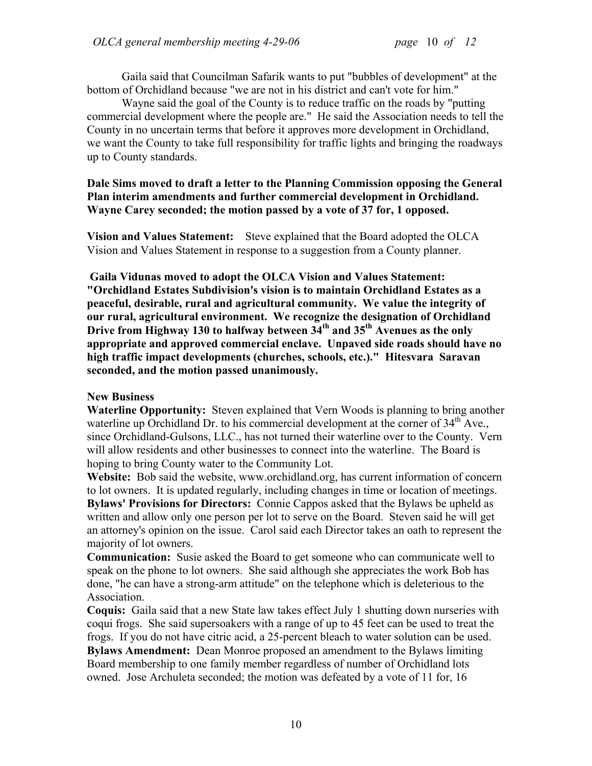Gaila said that Councilman Safarik wants to put "bubbles of development" at the bottom of Orchidland because "we are not in his district and can't vote for him."

Wayne said the goal of the County is to reduce traffic on the roads by "putting commercial development where the people are." He said the Association needs to tell the County in no uncertain terms that before it approves more development in Orchidland, we want the County to take full responsibility for traffic lights and bringing the roadways up to County standards.

#### **Dale Sims moved to draft a letter to the Planning Commission opposing the General Plan interim amendments and further commercial development in Orchidland. Wayne Carey seconded; the motion passed by a vote of 37 for, 1 opposed.**

**Vision and Values Statement:** Steve explained that the Board adopted the OLCA Vision and Values Statement in response to a suggestion from a County planner.

**Gaila Vidunas moved to adopt the OLCA Vision and Values Statement: "Orchidland Estates Subdivision's vision is to maintain Orchidland Estates as a peaceful, desirable, rural and agricultural community. We value the integrity of our rural, agricultural environment. We recognize the designation of Orchidland Drive from Highway 130 to halfway between 34th and 35th Avenues as the only appropriate and approved commercial enclave. Unpaved side roads should have no high traffic impact developments (churches, schools, etc.)." Hitesvara Saravan seconded, and the motion passed unanimously.** 

## **New Business**

**Waterline Opportunity:** Steven explained that Vern Woods is planning to bring another waterline up Orchidland Dr. to his commercial development at the corner of  $34<sup>th</sup>$  Ave., since Orchidland-Gulsons, LLC., has not turned their waterline over to the County. Vern will allow residents and other businesses to connect into the waterline. The Board is hoping to bring County water to the Community Lot.

**Website:** Bob said the website, www.orchidland.org, has current information of concern to lot owners. It is updated regularly, including changes in time or location of meetings. **Bylaws' Provisions for Directors:** Connie Cappos asked that the Bylaws be upheld as written and allow only one person per lot to serve on the Board. Steven said he will get an attorney's opinion on the issue. Carol said each Director takes an oath to represent the majority of lot owners.

**Communication:** Susie asked the Board to get someone who can communicate well to speak on the phone to lot owners. She said although she appreciates the work Bob has done, "he can have a strong-arm attitude" on the telephone which is deleterious to the Association.

**Coquis:** Gaila said that a new State law takes effect July 1 shutting down nurseries with coqui frogs. She said supersoakers with a range of up to 45 feet can be used to treat the frogs. If you do not have citric acid, a 25-percent bleach to water solution can be used. **Bylaws Amendment:** Dean Monroe proposed an amendment to the Bylaws limiting Board membership to one family member regardless of number of Orchidland lots owned. Jose Archuleta seconded; the motion was defeated by a vote of 11 for, 16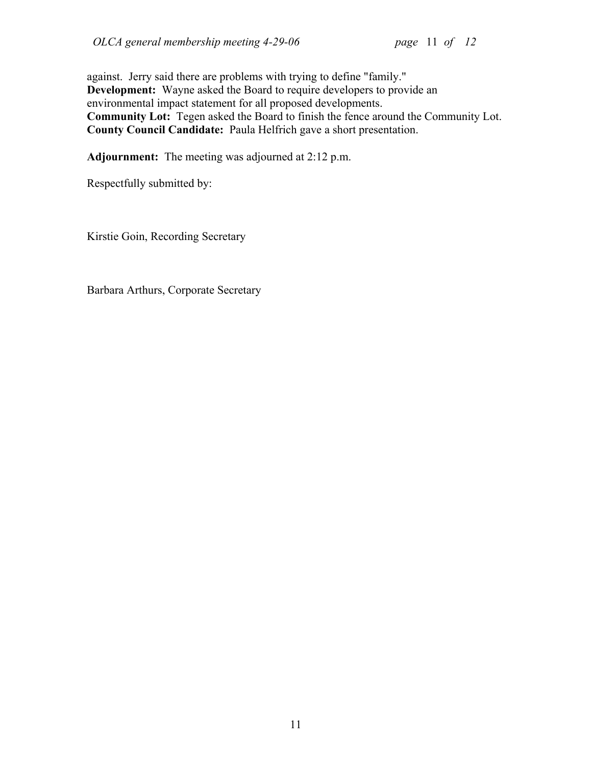against. Jerry said there are problems with trying to define "family." **Development:** Wayne asked the Board to require developers to provide an environmental impact statement for all proposed developments. **Community Lot:** Tegen asked the Board to finish the fence around the Community Lot. **County Council Candidate:** Paula Helfrich gave a short presentation.

**Adjournment:** The meeting was adjourned at 2:12 p.m.

Respectfully submitted by:

Kirstie Goin, Recording Secretary

Barbara Arthurs, Corporate Secretary